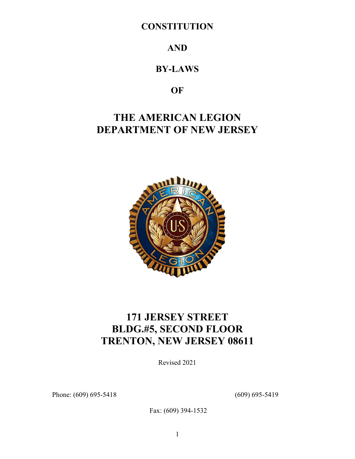## **CONSTITUTION**

## **AND**

## **BY-LAWS**

## **OF**

# **THE AMERICAN LEGION DEPARTMENT OF NEW JERSEY**



# **171 JERSEY STREET BLDG.#5, SECOND FLOOR TRENTON, NEW JERSEY 08611**

Revised 2021

Phone: (609) 695-5418 (609) 695-5419

Fax: (609) 394-1532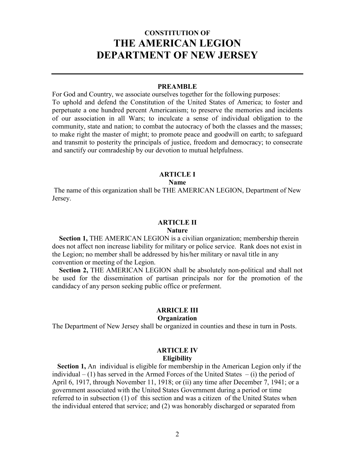## **CONSTITUTION OF THE AMERICAN LEGION DEPARTMENT OF NEW JERSEY**

#### **PREAMBLE**

For God and Country, we associate ourselves together for the following purposes: To uphold and defend the Constitution of the United States of America; to foster and perpetuate a one hundred percent Americanism; to preserve the memories and incidents of our association in all Wars; to inculcate a sense of individual obligation to the community, state and nation; to combat the autocracy of both the classes and the masses; to make right the master of might; to promote peace and goodwill on earth; to safeguard and transmit to posterity the principals of justice, freedom and democracy; to consecrate and sanctify our comradeship by our devotion to mutual helpfulness.

### **ARTICLE I**

**Name**

The name of this organization shall be THE AMERICAN LEGION, Department of New Jersey.

## **ARTICLE II**

#### **Nature**

**Section 1, THE AMERICAN LEGION is a civilian organization; membership therein** does not affect non increase liability for military or police service. Rank does not exist in the Legion; no member shall be addressed by his/her military or naval title in any convention or meeting of the Legion.

 **Section 2,** THE AMERICAN LEGION shall be absolutely non-political and shall not be used for the dissemination of partisan principals nor for the promotion of the candidacy of any person seeking public office or preferment.

## **ARRICLE III**

## **Organization**

The Department of New Jersey shall be organized in counties and these in turn in Posts.

# **ARTICLE IV**

## **Eligibility**

 **Section 1,** An individual is eligible for membership in the American Legion only if the individual  $- (1)$  has served in the Armed Forces of the United States  $- (i)$  the period of April 6, 1917, through November 11, 1918; or (ii) any time after December 7, 1941; or a government associated with the United States Government during a period or time referred to in subsection (1) of this section and was a citizen of the United States when the individual entered that service; and (2) was honorably discharged or separated from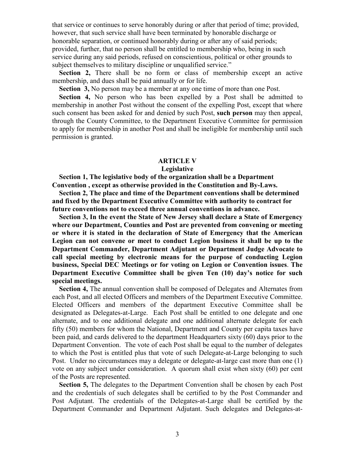that service or continues to serve honorably during or after that period of time; provided, however, that such service shall have been terminated by honorable discharge or honorable separation, or continued honorably during or after any of said periods; provided, further, that no person shall be entitled to membership who, being in such service during any said periods, refused on conscientious, political or other grounds to subject themselves to military discipline or unqualified service."

 **Section 2,** There shall be no form or class of membership except an active membership, and dues shall be paid annually or for life.

 **Section 3,** No person may be a member at any one time of more than one Post.

 **Section 4,** No person who has been expelled by a Post shall be admitted to membership in another Post without the consent of the expelling Post, except that where such consent has been asked for and denied by such Post, **such person** may then appeal, through the County Committee, to the Department Executive Committee for permission to apply for membership in another Post and shall be ineligible for membership until such permission is granted.

#### **ARTICLE V**

#### **Legislative**

 **Section 1, The legislative body of the organization shall be a Department Convention , except as otherwise provided in the Constitution and By-Laws.** 

 **Section 2, The place and time of the Department conventions shall be determined and fixed by the Department Executive Committee with authority to contract for future conventions not to exceed three annual conventions in advance.**

 **Section 3, In the event the State of New Jersey shall declare a State of Emergency where our Department, Counties and Post are prevented from convening or meeting or where it is stated in the declaration of State of Emergency that the American Legion can not convene or meet to conduct Legion business it shall be up to the Department Commander, Department Adjutant or Department Judge Advocate to call special meeting by electronic means for the purpose of conducting Legion business, Special DEC Meetings or for voting on Legion or Convention issues**. **The Department Executive Committee shall be given Ten (10) day's notice for such special meetings.**

 **Section 4,** The annual convention shall be composed of Delegates and Alternates from each Post, and all elected Officers and members of the Department Executive Committee. Elected Officers and members of the department Executive Committee shall be designated as Delegates-at-Large. Each Post shall be entitled to one delegate and one alternate, and to one additional delegate and one additional alternate delegate for each fifty (50) members for whom the National, Department and County per capita taxes have been paid, and cards delivered to the department Headquarters sixty (60) days prior to the Department Convention. The vote of each Post shall be equal to the number of delegates to which the Post is entitled plus that vote of such Delegate-at-Large belonging to such Post. Under no circumstances may a delegate or delegate-at-large cast more than one (1) vote on any subject under consideration. A quorum shall exist when sixty (60) per cent of the Posts are represented.

**Section 5,** The delegates to the Department Convention shall be chosen by each Post and the credentials of such delegates shall be certified to by the Post Commander and Post Adjutant. The credentials of the Delegates-at-Large shall be certified by the Department Commander and Department Adjutant. Such delegates and Delegates-at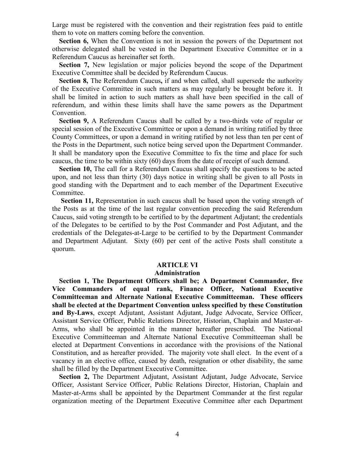Large must be registered with the convention and their registration fees paid to entitle them to vote on matters coming before the convention.

 **Section 6,** When the Convention is not in session the powers of the Department not otherwise delegated shall be vested in the Department Executive Committee or in a Referendum Caucus as hereinafter set forth.

 **Section 7,** New legislation or major policies beyond the scope of the Department Executive Committee shall be decided by Referendum Caucus.

 **Section 8,** The Referendum Caucus**,** if and when called, shall supersede the authority of the Executive Committee in such matters as may regularly be brought before it. It shall be limited in action to such matters as shall have been specified in the call of referendum, and within these limits shall have the same powers as the Department Convention.

 **Section 9,** A Referendum Caucus shall be called by a two-thirds vote of regular or special session of the Executive Committee or upon a demand in writing ratified by three County Committees, or upon a demand in writing ratified by not less than ten per cent of the Posts in the Department, such notice being served upon the Department Commander. It shall be mandatory upon the Executive Committee to fix the time and place for such caucus, the time to be within sixty (60) days from the date of receipt of such demand.

 **Section 10,** The call for a Referendum Caucus shall specify the questions to be acted upon, and not less than thirty (30) days notice in writing shall be given to all Posts in good standing with the Department and to each member of the Department Executive Committee.

 **Section 11,** Representation in such caucus shall be based upon the voting strength of the Posts as at the time of the last regular convention preceding the said Referendum Caucus, said voting strength to be certified to by the department Adjutant; the credentials of the Delegates to be certified to by the Post Commander and Post Adjutant, and the credentials of the Delegates-at-Large to be certified to by the Department Commander and Department Adjutant. Sixty (60) per cent of the active Posts shall constitute a quorum.

#### **ARTICLE VI**

#### **Administration**

 **Section 1, The Department Officers shall be; A Department Commander, five Vice Commanders of equal rank, Finance Officer, National Executive Committeeman and Alternate National Executive Committeeman. These officers shall be elected at the Department Convention unless specified by these Constitution and By-Laws**, except Adjutant, Assistant Adjutant, Judge Advocate, Service Officer, Assistant Service Officer, Public Relations Director, Historian, Chaplain and Master-at-Arms, who shall be appointed in the manner hereafter prescribed. The National Executive Committeeman and Alternate National Executive Committeeman shall be elected at Department Conventions in accordance with the provisions of the National Constitution, and as hereafter provided. The majority vote shall elect. In the event of a vacancy in an elective office, caused by death, resignation or other disability, the same shall be filled by the Department Executive Committee.

 **Section 2,** The Department Adjutant, Assistant Adjutant, Judge Advocate, Service Officer, Assistant Service Officer, Public Relations Director, Historian, Chaplain and Master-at-Arms shall be appointed by the Department Commander at the first regular organization meeting of the Department Executive Committee after each Department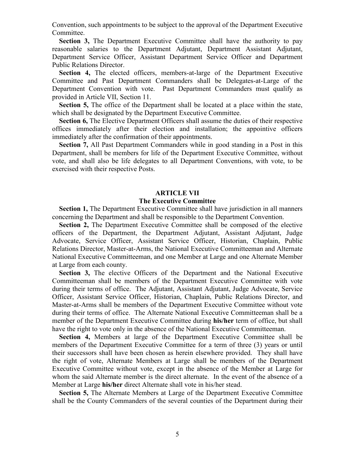Convention, such appointments to be subject to the approval of the Department Executive Committee.

 **Section 3,** The Department Executive Committee shall have the authority to pay reasonable salaries to the Department Adjutant, Department Assistant Adjutant, Department Service Officer, Assistant Department Service Officer and Department Public Relations Director.

 **Section 4,** The elected officers, members-at-large of the Department Executive Committee and Past Department Commanders shall be Delegates-at-Large of the Department Convention with vote. Past Department Commanders must qualify as provided in Article VII, Section 11.

 **Section 5,** The office of the Department shall be located at a place within the state, which shall be designated by the Department Executive Committee.

 **Section 6,** The Elective Department Officers shall assume the duties of their respective offices immediately after their election and installation; the appointive officers immediately after the confirmation of their appointments.

 **Section 7,** All Past Department Commanders while in good standing in a Post in this Department, shall be members for life of the Department Executive Committee, without vote, and shall also be life delegates to all Department Conventions, with vote, to be exercised with their respective Posts.

#### **ARTICLE VII**

### **The Executive Committee**

**Section 1, The Department Executive Committee shall have jurisdiction in all manners** concerning the Department and shall be responsible to the Department Convention.

**Section 2,** The Department Executive Committee shall be composed of the elective officers of the Department, the Department Adjutant, Assistant Adjutant, Judge Advocate, Service Officer, Assistant Service Officer, Historian, Chaplain, Public Relations Director, Master-at-Arms, the National Executive Committeeman and Alternate National Executive Committeeman, and one Member at Large and one Alternate Member at Large from each county.

 **Section 3,** The elective Officers of the Department and the National Executive Committeeman shall be members of the Department Executive Committee with vote during their terms of office. The Adjutant, Assistant Adjutant, Judge Advocate, Service Officer, Assistant Service Officer, Historian, Chaplain, Public Relations Director, and Master-at-Arms shall be members of the Department Executive Committee without vote during their terms of office. The Alternate National Executive Committeeman shall be a member of the Department Executive Committee during **his/her** term of office, but shall have the right to vote only in the absence of the National Executive Committeeman.

 **Section 4,** Members at large of the Department Executive Committee shall be members of the Department Executive Committee for a term of three (3) years or until their successors shall have been chosen as herein elsewhere provided. They shall have the right of vote, Alternate Members at Large shall be members of the Department Executive Committee without vote, except in the absence of the Member at Large for whom the said Alternate member is the direct alternate. In the event of the absence of a Member at Large **his/her** direct Alternate shall vote in his/her stead.

 **Section 5,** The Alternate Members at Large of the Department Executive Committee shall be the County Commanders of the several counties of the Department during their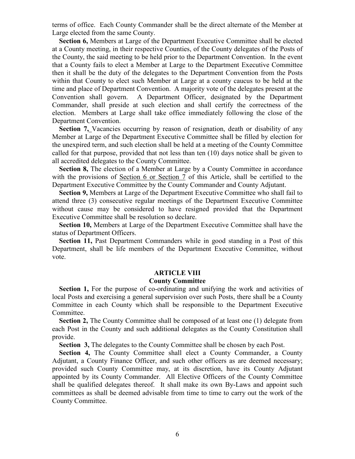terms of office. Each County Commander shall be the direct alternate of the Member at Large elected from the same County.

 **Section 6,** Members at Large of the Department Executive Committee shall be elected at a County meeting, in their respective Counties, of the County delegates of the Posts of the County, the said meeting to be held prior to the Department Convention. In the event that a County fails to elect a Member at Large to the Department Executive Committee then it shall be the duty of the delegates to the Department Convention from the Posts within that County to elect such Member at Large at a county caucus to be held at the time and place of Department Convention. A majority vote of the delegates present at the Convention shall govern. A Department Officer, designated by the Department Commander, shall preside at such election and shall certify the correctness of the election. Members at Large shall take office immediately following the close of the Department Convention.

**Section 7,** Vacancies occurring by reason of resignation, death or disability of any Member at Large of the Department Executive Committee shall be filled by election for the unexpired term, and such election shall be held at a meeting of the County Committee called for that purpose, provided that not less than ten (10) days notice shall be given to all accredited delegates to the County Committee.

**Section 8,** The election of a Member at Large by a County Committee in accordance with the provisions of Section 6 or Section 7 of this Article, shall be certified to the Department Executive Committee by the County Commander and County Adjutant.

 **Section 9,** Members at Large of the Department Executive Committee who shall fail to attend three (3) consecutive regular meetings of the Department Executive Committee without cause may be considered to have resigned provided that the Department Executive Committee shall be resolution so declare.

 **Section 10,** Members at Large of the Department Executive Committee shall have the status of Department Officers.

 **Section 11,** Past Department Commanders while in good standing in a Post of this Department, shall be life members of the Department Executive Committee, without vote.

#### **ARTICLE VIII**

## **County Committee**

**Section 1,** For the purpose of co-ordinating and unifying the work and activities of local Posts and exercising a general supervision over such Posts, there shall be a County Committee in each County which shall be responsible to the Department Executive Committee.

**Section 2,** The County Committee shall be composed of at least one (1) delegate from each Post in the County and such additional delegates as the County Constitution shall provide.

**Section 3,** The delegates to the County Committee shall be chosen by each Post.

 **Section 4,** The County Committee shall elect a County Commander, a County Adjutant, a County Finance Officer, and such other officers as are deemed necessary; provided such County Committee may, at its discretion, have its County Adjutant appointed by its County Commander. All Elective Officers of the County Committee shall be qualified delegates thereof. It shall make its own By-Laws and appoint such committees as shall be deemed advisable from time to time to carry out the work of the County Committee.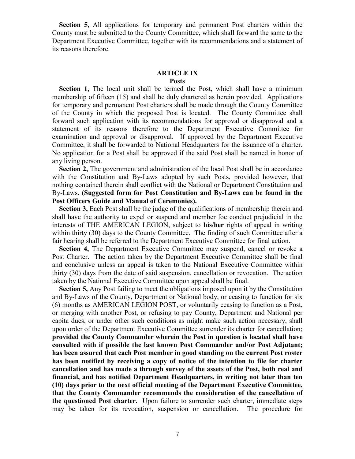**Section 5,** All applications for temporary and permanent Post charters within the County must be submitted to the County Committee, which shall forward the same to the Department Executive Committee, together with its recommendations and a statement of its reasons therefore.

### **ARTICLE IX**

### **Posts**

 **Section 1,** The local unit shall be termed the Post, which shall have a minimum membership of fifteen (15) and shall be duly chartered as herein provided. Applications for temporary and permanent Post charters shall be made through the County Committee of the County in which the proposed Post is located. The County Committee shall forward such application with its recommendations for approval or disapproval and a statement of its reasons therefore to the Department Executive Committee for examination and approval or disapproval. If approved by the Department Executive Committee, it shall be forwarded to National Headquarters for the issuance of a charter. No application for a Post shall be approved if the said Post shall be named in honor of any living person.

 **Section 2,** The government and administration of the local Post shall be in accordance with the Constitution and By-Laws adopted by such Posts, provided however, that nothing contained therein shall conflict with the National or Department Constitution and By-Laws. **(Suggested form for Post Constitution and By-Laws can be found in the Post Officers Guide and Manual of Ceremonies).**

 **Section 3,** Each Post shall be the judge of the qualifications of membership therein and shall have the authority to expel or suspend and member foe conduct prejudicial in the interests of THE AMERICAN LEGION, subject to **his/her** rights of appeal in writing within thirty (30) days to the County Committee. The finding of such Committee after a fair hearing shall be referred to the Department Executive Committee for final action.

Section 4, The Department Executive Committee may suspend, cancel or revoke a Post Charter. The action taken by the Department Executive Committee shall be final and conclusive unless an appeal is taken to the National Executive Committee within thirty (30) days from the date of said suspension, cancellation or revocation. The action taken by the National Executive Committee upon appeal shall be final.

**Section 5,** Any Post failing to meet the obligations imposed upon it by the Constitution and By-Laws of the County, Department or National body, or ceasing to function for six (6) months as AMERICAN LEGION POST, or voluntarily ceasing to function as a Post, or merging with another Post, or refusing to pay County, Department and National per capita dues, or under other such conditions as might make such action necessary, shall upon order of the Department Executive Committee surrender its charter for cancellation; **provided the County Commander wherein the Post in question is located shall have consulted with if possible the last known Post Commander and/or Post Adjutant; has been assured that each Post member in good standing on the current Post roster has been notified by receiving a copy of notice of the intention to file for charter cancellation and has made a through survey of the assets of the Post, both real and financial, and has notified Department Headquarters, in writing not later than ten (10) days prior to the next official meeting of the Department Executive Committee, that the County Commander recommends the consideration of the cancellation of the questioned Post charter.** Upon failure to surrender such charter, immediate steps may be taken for its revocation, suspension or cancellation. The procedure for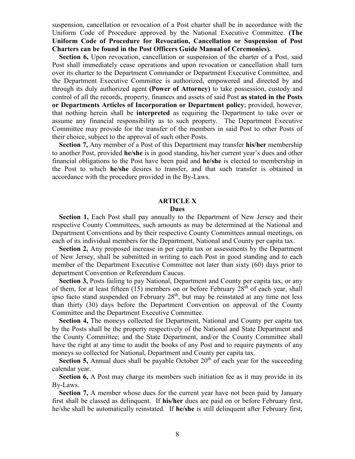suspension, cancellation or revocation of a Post charter shall be in accordance with the Uniform Code of Procedure approved by the National Executive Committee. **(The Uniform Code of Procedure for Revocation, Cancellation or Suspension of Post Charters can be found in the Post Officers Guide Manual of Ceremonies).**

 **Section 6,** Upon revocation, cancellation or suspension of the charter of a Post, said Post shall immediately cease operations and upon revocation or cancellation shall turn over its charter to the Department Commander or Department Executive Committee, and the Department Executive Committee is authorized, empowered and directed by and through its duly authorized agent **(Power of Attorney)** to take possession, custody and control of all the records, property, finances and assets of said Post **as stated in the Posts or Departments Articles of Incorporation or Department policy**; provided, however, that nothing herein shall be **interpreted** as requiring the Department to take over or assume any financial responsibility as to such property. The Department Executive Committee may provide for the transfer of the members in said Post to other Posts of their choice, subject to the approval of such other Posts.

 **Section 7,** Any member of a Post of this Department may transfer **his/her** membership to another Post, provided **he/she** is in good standing, his/her current year's dues and other financial obligations to the Post have been paid and **he/she** is elected to membership in the Post to which **he/she** desires to transfer, and that such transfer is obtained in accordance with the procedure provided in the By-Laws.

#### **ARTICLE X Dues**

 **Section 1,** Each Post shall pay annually to the Department of New Jersey and their respective County Committees, such amounts as may be determined at the National and Department Conventions and by their respective County Committees annual meetings, on each of its individual members for the Department, National and County per capita tax.

 **Section 2,** Any proposed increase in per capita tax or assessments by the Department of New Jersey, shall be submitted in writing to each Post in good standing and to each member of the Department Executive Committee not later than sixty (60) days prior to department Convention or Referendum Caucus.

**Section 3, Posts failing to pay National, Department and County per capita tax, or any** of them, for at least fifteen (15) members on or before February  $28<sup>th</sup>$  of each year, shall ipso facto stand suspended on February 28<sup>th</sup>, but may be reinstated at any time not less than thirty (30) days before the Department Convention on approval of the County Committee and the Department Executive Committee.

**Section 4, The moneys collected for Department, National and County per capita tax** by the Posts shall be the property respectively of the National and State Department and the County Committee; and the State Department, and/or the County Committee shall have the right at any time to audit the books of any Post and to require payments of any moneys so collected for National, Department and County per capita tax.

**Section 5,** Annual dues shall be payable October  $20<sup>th</sup>$  of each year for the succeeding calendar year.

**Section 6,** A Post may charge its members such initiation fee as it may provide in its By-Laws.

 **Section 7,** A member whose dues for the current year have not been paid by January first shall be classed as delinquent. If **his/her** dues are paid on or before February first, he/she shall be automatically reinstated. If **he/she** is still delinquent after February first,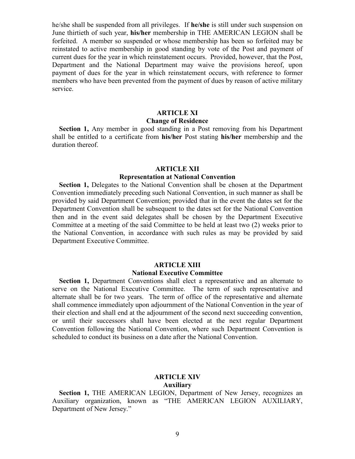he/she shall be suspended from all privileges. If **he/she** is still under such suspension on June thirtieth of such year, **his/her** membership in THE AMERICAN LEGION shall be forfeited. A member so suspended or whose membership has been so forfeited may be reinstated to active membership in good standing by vote of the Post and payment of current dues for the year in which reinstatement occurs. Provided, however, that the Post, Department and the National Department may waive the provisions hereof, upon payment of dues for the year in which reinstatement occurs, with reference to former members who have been prevented from the payment of dues by reason of active military service.

## **ARTICLE XI**

## **Change of Residence**

 **Section 1,** Any member in good standing in a Post removing from his Department shall be entitled to a certificate from **his/her** Post stating **his/her** membership and the duration thereof.

## **ARTICLE XII**

### **Representation at National Convention**

 **Section 1,** Delegates to the National Convention shall be chosen at the Department Convention immediately preceding such National Convention, in such manner as shall be provided by said Department Convention; provided that in the event the dates set for the Department Convention shall be subsequent to the dates set for the National Convention then and in the event said delegates shall be chosen by the Department Executive Committee at a meeting of the said Committee to be held at least two (2) weeks prior to the National Convention, in accordance with such rules as may be provided by said Department Executive Committee.

## **ARTICLE XIII**

## **National Executive Committee**

 **Section 1,** Department Conventions shall elect a representative and an alternate to serve on the National Executive Committee. The term of such representative and alternate shall be for two years. The term of office of the representative and alternate shall commence immediately upon adjournment of the National Convention in the year of their election and shall end at the adjournment of the second next succeeding convention, or until their successors shall have been elected at the next regular Department Convention following the National Convention, where such Department Convention is scheduled to conduct its business on a date after the National Convention.

### **ARTICLE XIV**

#### **Auxiliary**

**Section 1, THE AMERICAN LEGION, Department of New Jersey, recognizes an** Auxiliary organization, known as "THE AMERICAN LEGION AUXILIARY, Department of New Jersey."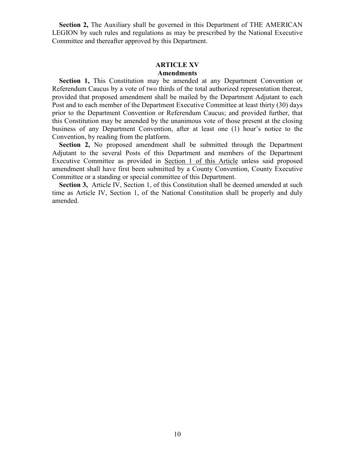**Section 2,** The Auxiliary shall be governed in this Department of THE AMERICAN LEGION by such rules and regulations as may be prescribed by the National Executive Committee and thereafter approved by this Department.

## **ARTICLE XV Amendments**

 **Section 1,** This Constitution may be amended at any Department Convention or Referendum Caucus by a vote of two thirds of the total authorized representation thereat, provided that proposed amendment shall be mailed by the Department Adjutant to each Post and to each member of the Department Executive Committee at least thirty (30) days prior to the Department Convention or Referendum Caucus; and provided further, that this Constitution may be amended by the unanimous vote of those present at the closing business of any Department Convention, after at least one (1) hour's notice to the Convention, by reading from the platform.

 **Section 2,** No proposed amendment shall be submitted through the Department Adjutant to the several Posts of this Department and members of the Department Executive Committee as provided in Section 1 of this Article unless said proposed amendment shall have first been submitted by a County Convention, County Executive Committee or a standing or special committee of this Department.

Section 3, Article IV, Section 1, of this Constitution shall be deemed amended at such time as Article IV, Section 1, of the National Constitution shall be properly and duly amended.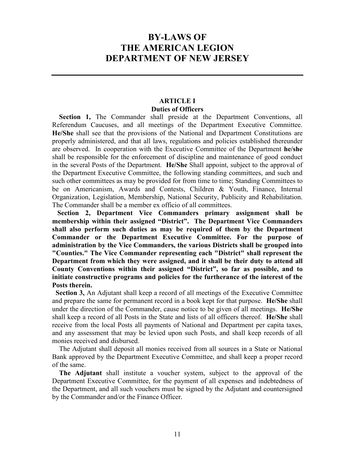## **BY-LAWS OF THE AMERICAN LEGION DEPARTMENT OF NEW JERSEY**

## **ARTICLE I Duties of Officers**

 **Section 1,** The Commander shall preside at the Department Conventions, all Referendum Caucuses, and all meetings of the Department Executive Committee. **He/She** shall see that the provisions of the National and Department Constitutions are properly administered, and that all laws, regulations and policies established thereunder are observed. In cooperation with the Executive Committee of the Department **he/she** shall be responsible for the enforcement of discipline and maintenance of good conduct in the several Posts of the Department. **He/She** Shall appoint, subject to the approval of the Department Executive Committee, the following standing committees, and such and such other committees as may be provided for from time to time; Standing Committees to be on Americanism, Awards and Contests, Children & Youth, Finance, Internal Organization, Legislation, Membership, National Security, Publicity and Rehabilitation. The Commander shall be a member ex officio of all committees.

 **Section 2, Department Vice Commanders primary assignment shall be membership within their assigned "District". The Department Vice Commanders shall also perform such duties as may be required of them by the Department Commander or the Department Executive Committee. For the purpose of administration by the Vice Commanders, the various Districts shall be grouped into "Counties." The Vice Commander representing each "District" shall represent the Department from which they were assigned, and it shall be their duty to attend all County Conventions within their assigned "District", so far as possible, and to initiate constructive programs and policies for the furtherance of the interest of the Posts therein.**

 **Section 3,** An Adjutant shall keep a record of all meetings of the Executive Committee and prepare the same for permanent record in a book kept for that purpose. **He/She** shall under the direction of the Commander, cause notice to be given of all meetings. **He/She** shall keep a record of all Posts in the State and lists of all officers thereof. **He/She** shall receive from the local Posts all payments of National and Department per capita taxes, and any assessment that may be levied upon such Posts, and shall keep records of all monies received and disbursed.

 The Adjutant shall deposit all monies received from all sources in a State or National Bank approved by the Department Executive Committee, and shall keep a proper record of the same.

 **The Adjutant** shall institute a voucher system, subject to the approval of the Department Executive Committee, for the payment of all expenses and indebtedness of the Department, and all such vouchers must be signed by the Adjutant and countersigned by the Commander and/or the Finance Officer.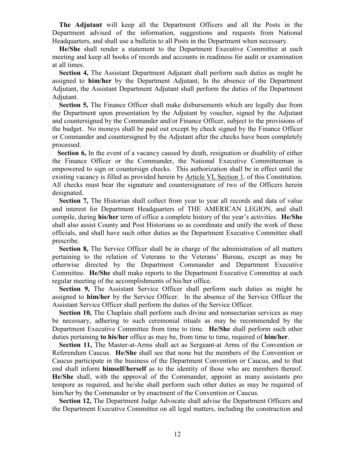**The Adjutant** will keep all the Department Officers and all the Posts in the Department advised of the information, suggestions and requests from National Headquarters, and shall use a bulletin to all Posts in the Department when necessary.

 **He/She** shall render a statement to the Department Executive Committee at each meeting and keep all books of records and accounts in readiness for audit or examination at all times.

 **Section 4,** The Assistant Department Adjutant shall perform such duties as might be assigned to **him/her** by the Department Adjutant, In the absence of the Department Adjutant, the Assistant Department Adjutant shall perform the duties of the Department Adjutant.

**Section 5,** The Finance Officer shall make disbursements which are legally due from the Department upon presentation by the Adjutant by voucher, signed by the Adjutant and countersigned by the Commander and/or Finance Officer, subject to the provisions of the budget. No moneys shall be paid out except by check signed by the Finance Officer or Commander and countersigned by the Adjutant after the checks have been completely processed.

 **Section 6,** In the event of a vacancy caused by death, resignation or disability of either the Finance Officer or the Commander, the National Executive Committeeman is empowered to sign or countersign checks. This authorization shall be in effect until the existing vacancy is filled as provided herein by Article VI, Section 1, of this Constitution. All checks must bear the signature and countersignature of two of the Officers herein designated.

**Section 7,** The Historian shall collect from year to year all records and data of value and interest for Department Headquarters of THE AMERICAN LEGION, and shall compile, during **his/her** term of office a complete history of the year's activities. **He/She** shall also assist County and Post Historians so as coordinate and unify the work of these officials, and shall have such other duties as the Department Executive Committee shall prescribe.

**Section 8,** The Service Officer shall be in charge of the administration of all matters pertaining to the relation of Veterans to the Veterans' Bureau, except as may be otherwise directed by the Department Commander and Department Executive Committee. **He/She** shall make reports to the Department Executive Committee at each regular meeting of the accomplishments of his/her office.

 **Section 9,** The Assistant Service Officer shall perform such duties as might be assigned to **him/her** by the Service Officer. In the absence of the Service Officer the Assistant Service Officer shall perform the duties of the Service Officer.

 **Section 10,** The Chaplain shall perform such divine and nonsectarian services as may be necessary, adhering to such ceremonial rituals as may be recommended by the Department Executive Committee from time to time. **He/She** shall perform such other duties pertaining **to his/her** office as may be, from time to time, required of **him/her**.

 **Section 11,** The Master-at-Arms shall act as Sergeant-at Arms of the Convention or Referendum Caucus. **He/She** shall see that none but the members of the Convention or Caucus participate in the business of the Department Convention or Caucus, and to that end shall inform **himself/herself** as to the identity of those who are members thereof. **He/She** shall, with the approval of the Commander, appoint as many assistants pro tempore as required, and he/she shall perform such other duties as may be required of him/her by the Commander or by enactment of the Convention or Caucus.

 **Section 12,** The Department Judge Advocate shall advise the Department Officers and the Department Executive Committee on all legal matters, including the construction and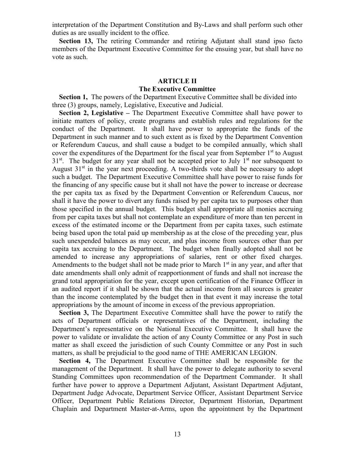interpretation of the Department Constitution and By-Laws and shall perform such other duties as are usually incident to the office.

**Section 13,** The retiring Commander and retiring Adjutant shall stand ipso facto members of the Department Executive Committee for the ensuing year, but shall have no vote as such.

## **ARTICLE II The Executive Committee**

 **Section 1,** The powers of the Department Executive Committee shall be divided into three (3) groups, namely, Legislative, Executive and Judicial.

 **Section 2, Legislative –** The Department Executive Committee shall have power to initiate matters of policy, create programs and establish rules and regulations for the conduct of the Department. It shall have power to appropriate the funds of the Department in such manner and to such extent as is fixed by the Department Convention or Referendum Caucus, and shall cause a budget to be compiled annually, which shall cover the expenditures of the Department for the fiscal year from September  $1<sup>st</sup>$  to August  $31<sup>st</sup>$ . The budget for any year shall not be accepted prior to July  $1<sup>st</sup>$  nor subsequent to August  $31<sup>st</sup>$  in the year next proceeding. A two-thirds vote shall be necessary to adopt such a budget. The Department Executive Committee shall have power to raise funds for the financing of any specific cause but it shall not have the power to increase or decrease the per capita tax as fixed by the Department Convention or Referendum Caucus, nor shall it have the power to divert any funds raised by per capita tax to purposes other than those specified in the annual budget. This budget shall appropriate all monies accruing from per capita taxes but shall not contemplate an expenditure of more than ten percent in excess of the estimated income or the Department from per capita taxes, such estimate being based upon the total paid up membership as at the close of the preceding year, plus such unexpended balances as may occur, and plus income from sources other than per capita tax accruing to the Department. The budget when finally adopted shall not be amended to increase any appropriations of salaries, rent or other fixed charges. Amendments to the budget shall not be made prior to March  $1<sup>st</sup>$  in any year, and after that date amendments shall only admit of reapportionment of funds and shall not increase the grand total appropriation for the year, except upon certification of the Finance Officer in an audited report if it shall be shown that the actual income from all sources is greater than the income contemplated by the budget then in that event it may increase the total appropriations by the amount of income in excess of the previous appropriation.

 **Section 3,** The Department Executive Committee shall have the power to ratify the acts of Department officials or representatives of the Department, including the Department's representative on the National Executive Committee. It shall have the power to validate or invalidate the action of any County Committee or any Post in such matter as shall exceed the jurisdiction of such County Committee or any Post in such matters, as shall be prejudicial to the good name of THE AMERICAN LEGION.

 **Section 4,** The Department Executive Committee shall be responsible for the management of the Department. It shall have the power to delegate authority to several Standing Committees upon recommendation of the Department Commander. It shall further have power to approve a Department Adjutant, Assistant Department Adjutant, Department Judge Advocate, Department Service Officer, Assistant Department Service Officer, Department Public Relations Director, Department Historian, Department Chaplain and Department Master-at-Arms, upon the appointment by the Department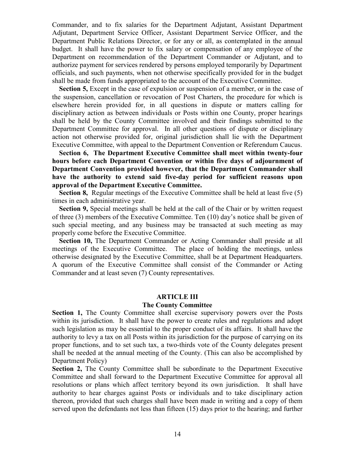Commander, and to fix salaries for the Department Adjutant, Assistant Department Adjutant, Department Service Officer, Assistant Department Service Officer, and the Department Public Relations Director, or for any or all, as contemplated in the annual budget. It shall have the power to fix salary or compensation of any employee of the Department on recommendation of the Department Commander or Adjutant, and to authorize payment for services rendered by persons employed temporarily by Department officials, and such payments, when not otherwise specifically provided for in the budget shall be made from funds appropriated to the account of the Executive Committee.

**Section 5,** Except in the case of expulsion or suspension of a member, or in the case of the suspension, cancellation or revocation of Post Charters, the procedure for which is elsewhere herein provided for, in all questions in dispute or matters calling for disciplinary action as between individuals or Posts within one County, proper hearings shall be held by the County Committee involved and their findings submitted to the Department Committee for approval. In all other questions of dispute or disciplinary action not otherwise provided for, original jurisdiction shall lie with the Department Executive Committee, with appeal to the Department Convention or Referendum Caucus.

 **Section 6, The Department Executive Committee shall meet within twenty-four hours before each Department Convention or within five days of adjournment of Department Convention provided however, that the Department Commander shall have the authority to extend said five-day period for sufficient reasons upon approval of the Department Executive Committee.** 

**Section 8,** Regular meetings of the Executive Committee shall be held at least five (5) times in each administrative year.

 **Section 9,** Special meetings shall be held at the call of the Chair or by written request of three (3) members of the Executive Committee. Ten (10) day's notice shall be given of such special meeting, and any business may be transacted at such meeting as may properly come before the Executive Committee.

**Section 10,** The Department Commander or Acting Commander shall preside at all meetings of the Executive Committee. The place of holding the meetings, unless otherwise designated by the Executive Committee, shall be at Department Headquarters. A quorum of the Executive Committee shall consist of the Commander or Acting Commander and at least seven (7) County representatives.

## **ARTICLE III**

#### **The County Committee**

**Section 1,** The County Committee shall exercise supervisory powers over the Posts within its jurisdiction. It shall have the power to create rules and regulations and adopt such legislation as may be essential to the proper conduct of its affairs. It shall have the authority to levy a tax on all Posts within its jurisdiction for the purpose of carrying on its proper functions, and to set such tax, a two-thirds vote of the County delegates present shall be needed at the annual meeting of the County. (This can also be accomplished by Department Policy)

**Section 2,** The County Committee shall be subordinate to the Department Executive Committee and shall forward to the Department Executive Committee for approval all resolutions or plans which affect territory beyond its own jurisdiction. It shall have authority to hear charges against Posts or individuals and to take disciplinary action thereon, provided that such charges shall have been made in writing and a copy of them served upon the defendants not less than fifteen (15) days prior to the hearing; and further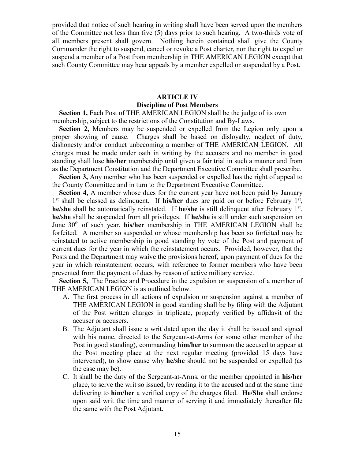provided that notice of such hearing in writing shall have been served upon the members of the Committee not less than five (5) days prior to such hearing. A two-thirds vote of all members present shall govern. Nothing herein contained shall give the County Commander the right to suspend, cancel or revoke a Post charter, nor the right to expel or suspend a member of a Post from membership in THE AMERICAN LEGION except that such County Committee may hear appeals by a member expelled or suspended by a Post.

## **ARTICLE IV**

## **Discipline of Post Members**

**Section 1, Each Post of THE AMERICAN LEGION shall be the judge of its own** membership, subject to the restrictions of the Constitution and By-Laws.

 **Section 2,** Members may be suspended or expelled from the Legion only upon a proper showing of cause. Charges shall be based on disloyalty, neglect of duty, dishonesty and/or conduct unbecoming a member of THE AMERICAN LEGION. All charges must be made under oath in writing by the accusers and no member in good standing shall lose **his/her** membership until given a fair trial in such a manner and from as the Department Constitution and the Department Executive Committee shall prescribe.

 **Section 3,** Any member who has been suspended or expelled has the right of appeal to the County Committee and in turn to the Department Executive Committee.

**Section 4,** A member whose dues for the current year have not been paid by January 1<sup>st</sup> shall be classed as delinquent. If **his/her** dues are paid on or before February 1<sup>st</sup>, **he/she** shall be automatically reinstated. If **he/she** is still delinquent after February 1<sup>st</sup>, **he/she** shall be suspended from all privileges. If **he/she** is still under such suspension on June 30<sup>th</sup> of such year, **his/her** membership in THE AMERICAN LEGION shall be forfeited. A member so suspended or whose membership has been so forfeited may be reinstated to active membership in good standing by vote of the Post and payment of current dues for the year in which the reinstatement occurs. Provided, however, that the Posts and the Department may waive the provisions hereof, upon payment of dues for the year in which reinstatement occurs, with reference to former members who have been prevented from the payment of dues by reason of active military service.

 **Section 5,** The Practice and Procedure in the expulsion or suspension of a member of THE AMERICAN LEGION is as outlined below.

- A. The first process in all actions of expulsion or suspension against a member of THE AMERICAN LEGION in good standing shall be by filing with the Adjutant of the Post written charges in triplicate, properly verified by affidavit of the accuser or accusers.
- B. The Adjutant shall issue a writ dated upon the day it shall be issued and signed with his name, directed to the Sergeant-at-Arms (or some other member of the Post in good standing), commanding **him/her** to summon the accused to appear at the Post meeting place at the next regular meeting (provided 15 days have intervened), to show cause why **he/she** should not be suspended or expelled (as the case may be).
- C. It shall be the duty of the Sergeant-at-Arms, or the member appointed in **his/her** place, to serve the writ so issued, by reading it to the accused and at the same time delivering to **him/her** a verified copy of the charges filed. **He/She** shall endorse upon said writ the time and manner of serving it and immediately thereafter file the same with the Post Adjutant.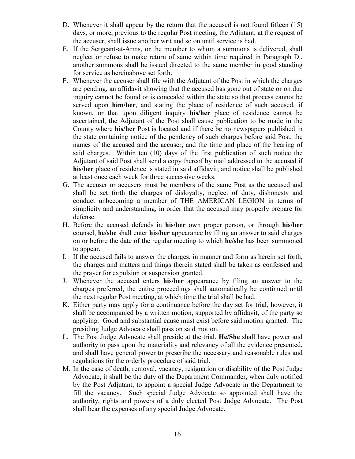- D. Whenever it shall appear by the return that the accused is not found fifteen (15) days, or more, previous to the regular Post meeting, the Adjutant, at the request of the accuser, shall issue another writ and so on until service is had.
- E. If the Sergeant-at-Arms, or the member to whom a summons is delivered, shall neglect or refuse to make return of same within time required in Paragraph D., another summons shall be issued directed to the same member in good standing for service as hereinabove set forth.
- F. Whenever the accuser shall file with the Adjutant of the Post in which the charges are pending, an affidavit showing that the accused has gone out of state or on due inquiry cannot be found or is concealed within the state so that process cannot be served upon **him/her**, and stating the place of residence of such accused, if known, or that upon diligent inquiry **his/her** place of residence cannot be ascertained, the Adjutant of the Post shall cause publication to be made in the County where **his/her** Post is located and if there be no newspapers published in the state containing notice of the pendency of such charges before said Post, the names of the accused and the accuser, and the time and place of the hearing of said charges. Within ten (10) days of the first publication of such notice the Adjutant of said Post shall send a copy thereof by mail addressed to the accused if **his/her** place of residence is stated in said affidavit; and notice shall be published at least once each week for three successive weeks.
- G. The accuser or accusers must be members of the same Post as the accused and shall be set forth the charges of disloyalty, neglect of duty, dishonesty and conduct unbecoming a member of THE AMERICAN LEGION in terms of simplicity and understanding, in order that the accused may properly prepare for defense.
- H. Before the accused defends in **his/her** own proper person, or through **his/her** counsel, **he/she** shall enter **his/her** appearance by filing an answer to said charges on or before the date of the regular meeting to which **he/she** has been summoned to appear.
- I. If the accused fails to answer the charges, in manner and form as herein set forth, the charges and matters and things therein stated shall be taken as confessed and the prayer for expulsion or suspension granted.
- J. Whenever the accused enters **his/her** appearance by filing an answer to the charges preferred, the entire proceedings shall automatically be continued until the next regular Post meeting, at which time the trial shall be had.
- K. Either party may apply for a continuance before the day set for trial, however, it shall be accompanied by a written motion, supported by affidavit, of the party so applying. Good and substantial cause must exist before said motion granted. The presiding Judge Advocate shall pass on said motion.
- L. The Post Judge Advocate shall preside at the trial. **He/She** shall have power and authority to pass upon the materiality and relevancy of all the evidence presented, and shall have general power to prescribe the necessary and reasonable rules and regulations for the orderly procedure of said trial.
- M. In the case of death, removal, vacancy, resignation or disability of the Post Judge Advocate, it shall be the duty of the Department Commander, when duly notified by the Post Adjutant, to appoint a special Judge Advocate in the Department to fill the vacancy. Such special Judge Advocate so appointed shall have the authority, rights and powers of a duly elected Post Judge Advocate. The Post shall bear the expenses of any special Judge Advocate.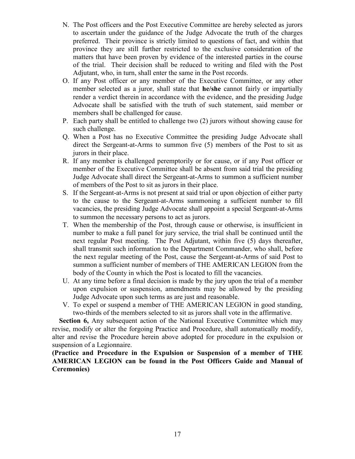- N. The Post officers and the Post Executive Committee are hereby selected as jurors to ascertain under the guidance of the Judge Advocate the truth of the charges preferred. Their province is strictly limited to questions of fact, and within that province they are still further restricted to the exclusive consideration of the matters that have been proven by evidence of the interested parties in the course of the trial. Their decision shall be reduced to writing and filed with the Post Adjutant, who, in turn, shall enter the same in the Post records.
- O. If any Post officer or any member of the Executive Committee, or any other member selected as a juror, shall state that **he/she** cannot fairly or impartially render a verdict therein in accordance with the evidence, and the presiding Judge Advocate shall be satisfied with the truth of such statement, said member or members shall be challenged for cause.
- P. Each party shall be entitled to challenge two (2) jurors without showing cause for such challenge.
- Q. When a Post has no Executive Committee the presiding Judge Advocate shall direct the Sergeant-at-Arms to summon five (5) members of the Post to sit as jurors in their place.
- R. If any member is challenged peremptorily or for cause, or if any Post officer or member of the Executive Committee shall be absent from said trial the presiding Judge Advocate shall direct the Sergeant-at-Arms to summon a sufficient number of members of the Post to sit as jurors in their place.
- S. If the Sergeant-at-Arms is not present at said trial or upon objection of either party to the cause to the Sergeant-at-Arms summoning a sufficient number to fill vacancies, the presiding Judge Advocate shall appoint a special Sergeant-at-Arms to summon the necessary persons to act as jurors.
- T. When the membership of the Post, through cause or otherwise, is insufficient in number to make a full panel for jury service, the trial shall be continued until the next regular Post meeting. The Post Adjutant, within five (5) days thereafter, shall transmit such information to the Department Commander, who shall, before the next regular meeting of the Post, cause the Sergeant-at-Arms of said Post to summon a sufficient number of members of THE AMERICAN LEGION from the body of the County in which the Post is located to fill the vacancies.
- U. At any time before a final decision is made by the jury upon the trial of a member upon expulsion or suspension, amendments may be allowed by the presiding Judge Advocate upon such terms as are just and reasonable.
- V. To expel or suspend a member of THE AMERICAN LEGION in good standing, two-thirds of the members selected to sit as jurors shall vote in the affirmative.

**Section 6,** Any subsequent action of the National Executive Committee which may revise, modify or alter the forgoing Practice and Procedure, shall automatically modify, alter and revise the Procedure herein above adopted for procedure in the expulsion or suspension of a Legionnaire.

**(Practice and Procedure in the Expulsion or Suspension of a member of THE AMERICAN LEGION can be found in the Post Officers Guide and Manual of Ceremonies)**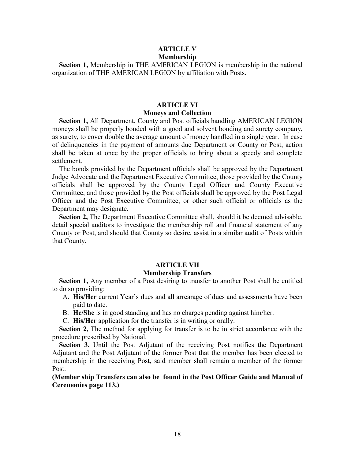## **ARTICLE V Membership**

 **Section 1,** Membership in THE AMERICAN LEGION is membership in the national organization of THE AMERICAN LEGION by affiliation with Posts.

## **ARTICLE VI Moneys and Collection**

 **Section 1,** All Department, County and Post officials handling AMERICAN LEGION moneys shall be properly bonded with a good and solvent bonding and surety company, as surety, to cover double the average amount of money handled in a single year. In case of delinquencies in the payment of amounts due Department or County or Post, action shall be taken at once by the proper officials to bring about a speedy and complete settlement.

 The bonds provided by the Department officials shall be approved by the Department Judge Advocate and the Department Executive Committee, those provided by the County officials shall be approved by the County Legal Officer and County Executive Committee, and those provided by the Post officials shall be approved by the Post Legal Officer and the Post Executive Committee, or other such official or officials as the Department may designate.

 **Section 2,** The Department Executive Committee shall, should it be deemed advisable, detail special auditors to investigate the membership roll and financial statement of any County or Post, and should that County so desire, assist in a similar audit of Posts within that County.

## **ARTICLE VII**

## **Membership Transfers**

 **Section 1,** Any member of a Post desiring to transfer to another Post shall be entitled to do so providing:

- A. **His/Her** current Year's dues and all arrearage of dues and assessments have been paid to date.
- B. **He/She** is in good standing and has no charges pending against him/her.
- C. **His/Her** application for the transfer is in writing or orally.

**Section 2.** The method for applying for transfer is to be in strict accordance with the procedure prescribed by National.

 **Section 3,** Until the Post Adjutant of the receiving Post notifies the Department Adjutant and the Post Adjutant of the former Post that the member has been elected to membership in the receiving Post, said member shall remain a member of the former Post.

**(Member ship Transfers can also be found in the Post Officer Guide and Manual of Ceremonies page 113.)**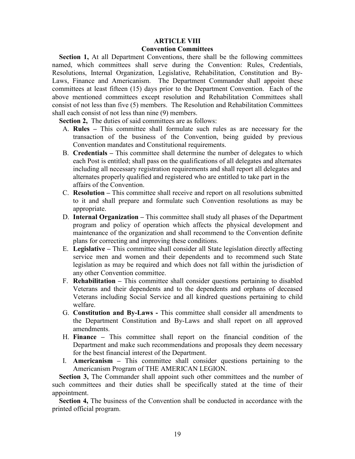## **ARTICLE VIII Convention Committees**

**Section 1,** At all Department Conventions, there shall be the following committees named, which committees shall serve during the Convention: Rules, Credentials, Resolutions, Internal Organization, Legislative, Rehabilitation, Constitution and By-Laws, Finance and Americanism. The Department Commander shall appoint these committees at least fifteen (15) days prior to the Department Convention. Each of the above mentioned committees except resolution and Rehabilitation Committees shall consist of not less than five (5) members. The Resolution and Rehabilitation Committees shall each consist of not less than nine (9) members.

**Section 2,** The duties of said committees are as follows:

- A. **Rules –** This committee shall formulate such rules as are necessary for the transaction of the business of the Convention, being guided by previous Convention mandates and Constitutional requirements.
- B. **Credentials –** This committee shall determine the number of delegates to which each Post is entitled; shall pass on the qualifications of all delegates and alternates including all necessary registration requirements and shall report all delegates and alternates properly qualified and registered who are entitled to take part in the affairs of the Convention.
- C. **Resolution –** This committee shall receive and report on all resolutions submitted to it and shall prepare and formulate such Convention resolutions as may be appropriate.
- D. **Internal Organization –** This committee shall study all phases of the Department program and policy of operation which affects the physical development and maintenance of the organization and shall recommend to the Convention definite plans for correcting and improving these conditions.
- E. **Legislative –** This committee shall consider all State legislation directly affecting service men and women and their dependents and to recommend such State legislation as may be required and which does not fall within the jurisdiction of any other Convention committee.
- F. **Rehabilitation –** This committee shall consider questions pertaining to disabled Veterans and their dependents and to the dependents and orphans of deceased Veterans including Social Service and all kindred questions pertaining to child welfare.
- G. **Constitution and By-Laws -** This committee shall consider all amendments to the Department Constitution and By-Laws and shall report on all approved amendments.
- H. **Finance –** This committee shall report on the financial condition of the Department and make such recommendations and proposals they deem necessary for the best financial interest of the Department.
- I. **Americanism –** This committee shall consider questions pertaining to the Americanism Program of THE AMERICAN LEGION.

**Section 3,** The Commander shall appoint such other committees and the number of such committees and their duties shall be specifically stated at the time of their appointment.

**Section 4,** The business of the Convention shall be conducted in accordance with the printed official program.